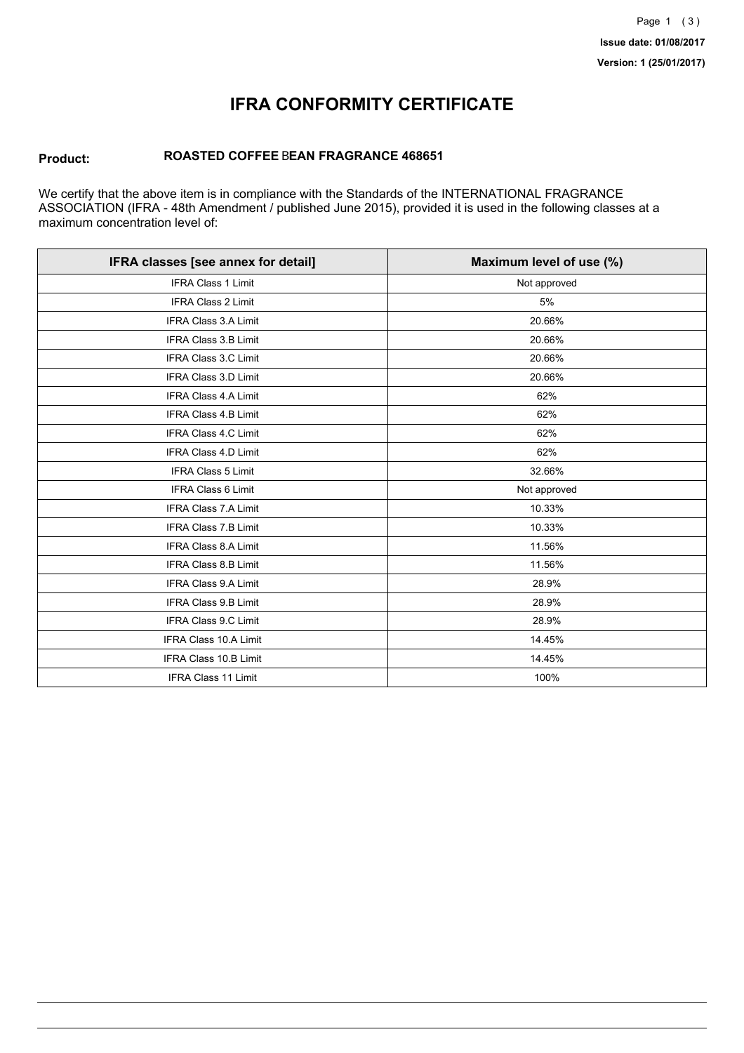## **IFRA CONFORMITY CERTIFICATE**

#### **Product: ROASTED COFFEE** B**EAN FRAGRANCE 468651**

We certify that the above item is in compliance with the Standards of the INTERNATIONAL FRAGRANCE ASSOCIATION (IFRA - 48th Amendment / published June 2015), provided it is used in the following classes at a maximum concentration level of:

| IFRA classes [see annex for detail] | Maximum level of use (%) |
|-------------------------------------|--------------------------|
| <b>IFRA Class 1 Limit</b>           | Not approved             |
| IFRA Class 2 Limit                  | 5%                       |
| <b>IFRA Class 3.A Limit</b>         | 20.66%                   |
| <b>IFRA Class 3.B Limit</b>         | 20.66%                   |
| IFRA Class 3.C Limit                | 20.66%                   |
| <b>IFRA Class 3.D Limit</b>         | 20.66%                   |
| <b>IFRA Class 4.A Limit</b>         | 62%                      |
| <b>IFRA Class 4.B Limit</b>         | 62%                      |
| <b>IFRA Class 4.C Limit</b>         | 62%                      |
| IFRA Class 4.D Limit                | 62%                      |
| <b>IFRA Class 5 Limit</b>           | 32.66%                   |
| <b>IFRA Class 6 Limit</b>           | Not approved             |
| <b>IFRA Class 7.A Limit</b>         | 10.33%                   |
| IFRA Class 7.B Limit                | 10.33%                   |
| <b>IFRA Class 8.A Limit</b>         | 11.56%                   |
| IFRA Class 8.B Limit                | 11.56%                   |
| <b>IFRA Class 9.A Limit</b>         | 28.9%                    |
| <b>IFRA Class 9.B Limit</b>         | 28.9%                    |
| <b>IFRA Class 9.C Limit</b>         | 28.9%                    |
| IFRA Class 10.A Limit               | 14.45%                   |
| IFRA Class 10.B Limit               | 14.45%                   |
| <b>IFRA Class 11 Limit</b>          | 100%                     |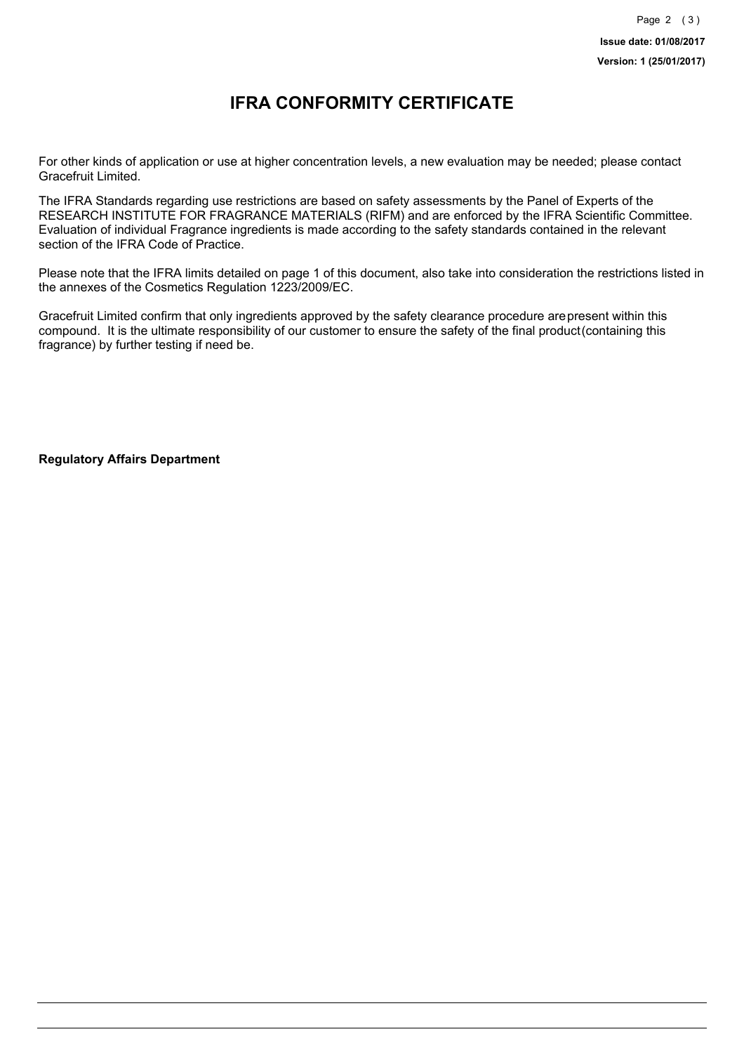### **IFRA CONFORMITY CERTIFICATE**

For other kinds of application or use at higher concentration levels, a new evaluation may be needed; please contact Gracefruit Limited.

The IFRA Standards regarding use restrictions are based on safety assessments by the Panel of Experts of the RESEARCH INSTITUTE FOR FRAGRANCE MATERIALS (RIFM) and are enforced by the IFRA Scientific Committee. Evaluation of individual Fragrance ingredients is made according to the safety standards contained in the relevant section of the IFRA Code of Practice.

Please note that the IFRA limits detailed on page 1 of this document, also take into consideration the restrictions listed in the annexes of the Cosmetics Regulation 1223/2009/EC.

Gracefruit Limited confirm that only ingredients approved by the safety clearance procedure arepresent within this compound. It is the ultimate responsibility of our customer to ensure the safety of the final product(containing this fragrance) by further testing if need be.

**Regulatory Affairs Department**